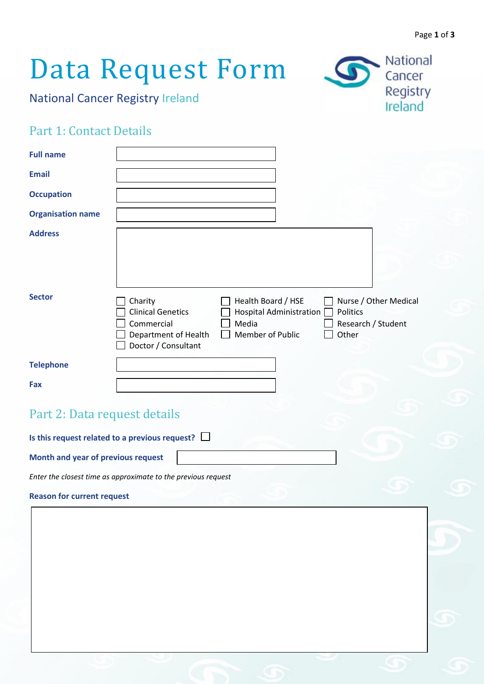# Data Request Form

National Cancer Registry Ireland



### Part 1: Contact Details

| <b>Full name</b>                                      |                                                                                                                                                                                                                                                      |
|-------------------------------------------------------|------------------------------------------------------------------------------------------------------------------------------------------------------------------------------------------------------------------------------------------------------|
| <b>Email</b>                                          |                                                                                                                                                                                                                                                      |
| <b>Occupation</b>                                     |                                                                                                                                                                                                                                                      |
| <b>Organisation name</b>                              |                                                                                                                                                                                                                                                      |
| <b>Address</b><br><b>Sector</b>                       | Health Board / HSE<br>Nurse / Other Medical<br>Charity<br><b>Clinical Genetics</b><br>Hospital Administration [<br>Politics<br>Commercial<br>Media<br>Research / Student<br>Member of Public<br>Other<br>Department of Health<br>Doctor / Consultant |
| <b>Telephone</b>                                      |                                                                                                                                                                                                                                                      |
| Fax                                                   |                                                                                                                                                                                                                                                      |
| Part 2: Data request details                          |                                                                                                                                                                                                                                                      |
| Is this request related to a previous request? $\Box$ |                                                                                                                                                                                                                                                      |
| Month and year of previous request                    |                                                                                                                                                                                                                                                      |

*Enter the closest time as approximate to the previous request*

**Reason for current request**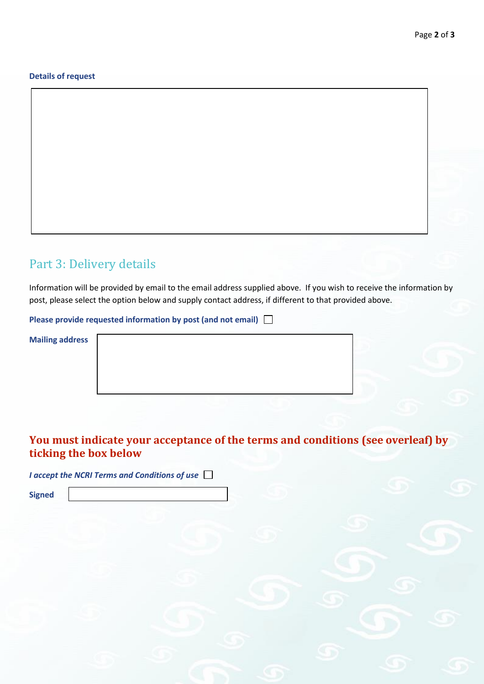#### **Details of request**

#### Part 3: Delivery details

Information will be provided by email to the email address supplied above. If you wish to receive the information by post, please select the option below and supply contact address, if different to that provided above.

**Please provide requested information by post (and not email)** 

**Mailing address** 

#### **You must indicate your acceptance of the terms and conditions (see overleaf) by ticking the box below**

*I accept the NCRI Terms and Conditions of use*

**Signed**